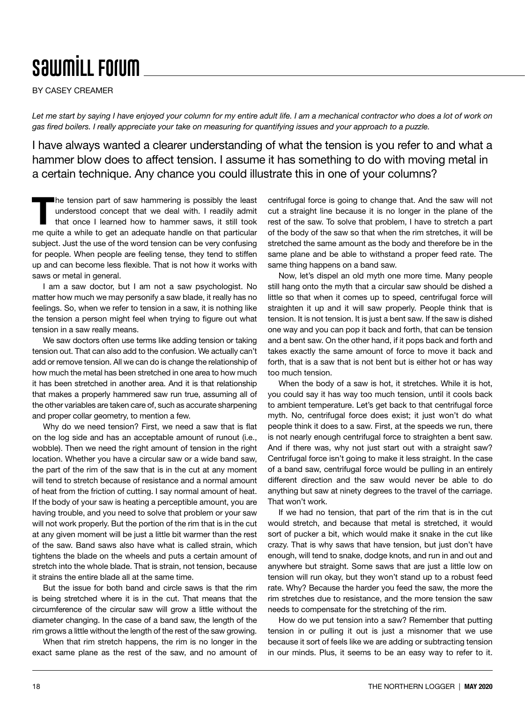## **SawmiLL Forum**

BY CASEY CREAMER

Let me start by saying I have enjoyed your column for my entire adult life. I am a mechanical contractor who does a lot of work on *gas fired boilers. I really appreciate your take on measuring for quantifying issues and your approach to a puzzle.*

I have always wanted a clearer understanding of what the tension is you refer to and what a hammer blow does to affect tension. I assume it has something to do with moving metal in a certain technique. Any chance you could illustrate this in one of your columns?

The tension part of saw hammering is possibly the least<br>understood concept that we deal with. I readily admit<br>that once I learned how to hammer saws, it still took understood concept that we deal with. I readily admit that once I learned how to hammer saws, it still took me quite a while to get an adequate handle on that particular subject. Just the use of the word tension can be very confusing for people. When people are feeling tense, they tend to stiffen up and can become less flexible. That is not how it works with saws or metal in general.

I am a saw doctor, but I am not a saw psychologist. No matter how much we may personify a saw blade, it really has no feelings. So, when we refer to tension in a saw, it is nothing like the tension a person might feel when trying to figure out what tension in a saw really means.

We saw doctors often use terms like adding tension or taking tension out. That can also add to the confusion. We actually can't add or remove tension. All we can do is change the relationship of how much the metal has been stretched in one area to how much it has been stretched in another area. And it is that relationship that makes a properly hammered saw run true, assuming all of the other variables are taken care of, such as accurate sharpening and proper collar geometry, to mention a few.

Why do we need tension? First, we need a saw that is flat on the log side and has an acceptable amount of runout (i.e., wobble). Then we need the right amount of tension in the right location. Whether you have a circular saw or a wide band saw, the part of the rim of the saw that is in the cut at any moment will tend to stretch because of resistance and a normal amount of heat from the friction of cutting. I say normal amount of heat. If the body of your saw is heating a perceptible amount, you are having trouble, and you need to solve that problem or your saw will not work properly. But the portion of the rim that is in the cut at any given moment will be just a little bit warmer than the rest of the saw. Band saws also have what is called strain, which tightens the blade on the wheels and puts a certain amount of stretch into the whole blade. That is strain, not tension, because it strains the entire blade all at the same time.

But the issue for both band and circle saws is that the rim is being stretched where it is in the cut. That means that the circumference of the circular saw will grow a little without the diameter changing. In the case of a band saw, the length of the rim grows a little without the length of the rest of the saw growing.

When that rim stretch happens, the rim is no longer in the exact same plane as the rest of the saw, and no amount of centrifugal force is going to change that. And the saw will not cut a straight line because it is no longer in the plane of the rest of the saw. To solve that problem, I have to stretch a part of the body of the saw so that when the rim stretches, it will be stretched the same amount as the body and therefore be in the same plane and be able to withstand a proper feed rate. The same thing happens on a band saw.

Now, let's dispel an old myth one more time. Many people still hang onto the myth that a circular saw should be dished a little so that when it comes up to speed, centrifugal force will straighten it up and it will saw properly. People think that is tension. It is not tension. It is just a bent saw. If the saw is dished one way and you can pop it back and forth, that can be tension and a bent saw. On the other hand, if it pops back and forth and takes exactly the same amount of force to move it back and forth, that is a saw that is not bent but is either hot or has way too much tension.

When the body of a saw is hot, it stretches. While it is hot, you could say it has way too much tension, until it cools back to ambient temperature. Let's get back to that centrifugal force myth. No, centrifugal force does exist; it just won't do what people think it does to a saw. First, at the speeds we run, there is not nearly enough centrifugal force to straighten a bent saw. And if there was, why not just start out with a straight saw? Centrifugal force isn't going to make it less straight. In the case of a band saw, centrifugal force would be pulling in an entirely different direction and the saw would never be able to do anything but saw at ninety degrees to the travel of the carriage. That won't work.

If we had no tension, that part of the rim that is in the cut would stretch, and because that metal is stretched, it would sort of pucker a bit, which would make it snake in the cut like crazy. That is why saws that have tension, but just don't have enough, will tend to snake, dodge knots, and run in and out and anywhere but straight. Some saws that are just a little low on tension will run okay, but they won't stand up to a robust feed rate. Why? Because the harder you feed the saw, the more the rim stretches due to resistance, and the more tension the saw needs to compensate for the stretching of the rim.

How do we put tension into a saw? Remember that putting tension in or pulling it out is just a misnomer that we use because it sort of feels like we are adding or subtracting tension in our minds. Plus, it seems to be an easy way to refer to it.